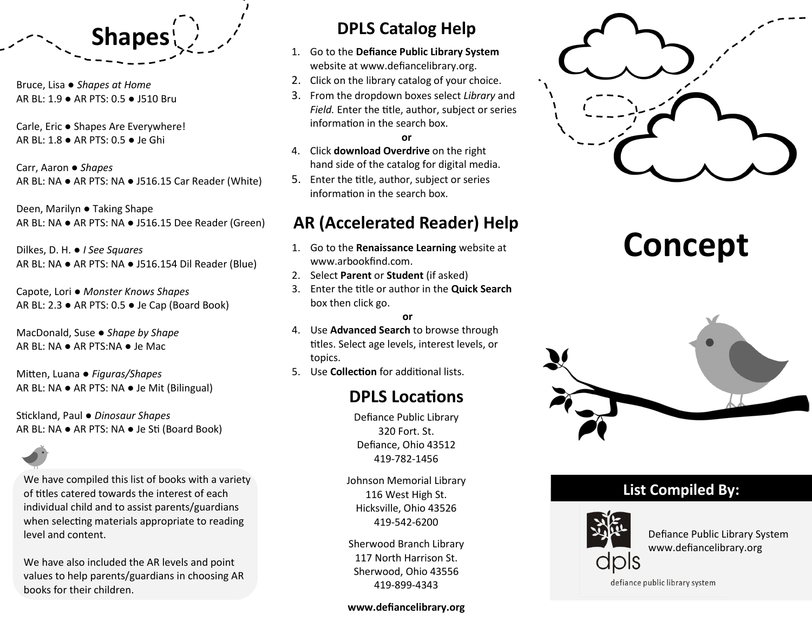

Bruce, Lisa ● *Shapes at Home* AR BL: 1.9 ● AR PTS: 0.5 ● J510 Bru

Carle, Eric ● Shapes Are Everywhere! AR BL: 1.8 ● AR PTS: 0.5 ● Je Ghi

Carr, Aaron ● *Shapes* AR BL: NA ● AR PTS: NA ● J516.15 Car Reader (White)

Deen, Marilyn ● Taking Shape AR BL: NA ● AR PTS: NA ● J516.15 Dee Reader (Green)

Dilkes, D. H. ● *I See Squares* AR BL: NA ● AR PTS: NA ● J516.154 Dil Reader (Blue)

Capote, Lori ● *Monster Knows Shapes* AR BL: 2.3 ● AR PTS: 0.5 ● Je Cap (Board Book)

MacDonald, Suse ● *Shape by Shape* AR BL: NA ● AR PTS:NA ● Je Mac

Mitten, Luana ● *Figuras/Shapes* AR BL: NA ● AR PTS: NA ● Je Mit (Bilingual)

Stickland, Paul ● *Dinosaur Shapes* AR BL: NA ● AR PTS: NA ● Je Sti (Board Book)

We have compiled this list of books with a variety of titles catered towards the interest of each individual child and to assist parents/guardians when selecting materials appropriate to reading level and content.

We have also included the AR levels and point values to help parents/guardians in choosing AR books for their children.

## **DPLS Catalog Help**

- 1. Go to the **Defiance Public Library System**  website at www.defiancelibrary.org.
- 2. Click on the library catalog of your choice.
- 3. From the dropdown boxes select *Library* and *Field.* Enter the title, author, subject or series information in the search box.

#### **or**

- 4. Click **download Overdrive** on the right hand side of the catalog for digital media.
- 5. Enter the title, author, subject or series information in the search box.

## **AR (Accelerated Reader) Help**

- 1. Go to the **Renaissance Learning** website at www.arbookfind.com.
- 2. Select **Parent** or **Student** (if asked)
- 3. Enter the title or author in the **Quick Search**  box then click go.

#### **or**

- 4. Use **Advanced Search** to browse through titles. Select age levels, interest levels, or topics.
- 5. Use **Collection** for additional lists.

## **DPLS Locations**

Defiance Public Library 320 Fort. St. Defiance, Ohio 43512 419-782-1456

Johnson Memorial Library 116 West High St. Hicksville, Ohio 43526 419-542-6200

Sherwood Branch Library 117 North Harrison St. Sherwood, Ohio 43556 419-899-4343

#### **www.defiancelibrary.org**



# **Concept**



### **List Compiled By:**



Defiance Public Library System www.defiancelibrary.org

defiance public library system